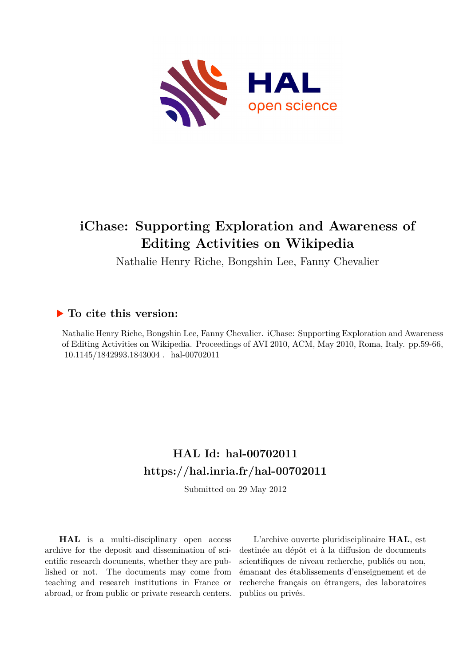

# **iChase: Supporting Exploration and Awareness of Editing Activities on Wikipedia**

Nathalie Henry Riche, Bongshin Lee, Fanny Chevalier

## **To cite this version:**

Nathalie Henry Riche, Bongshin Lee, Fanny Chevalier. iChase: Supporting Exploration and Awareness of Editing Activities on Wikipedia. Proceedings of AVI 2010, ACM, May 2010, Roma, Italy. pp.59-66,  $10.1145/1842993.1843004$ . hal-00702011

## **HAL Id: hal-00702011 <https://hal.inria.fr/hal-00702011>**

Submitted on 29 May 2012

**HAL** is a multi-disciplinary open access archive for the deposit and dissemination of scientific research documents, whether they are published or not. The documents may come from teaching and research institutions in France or abroad, or from public or private research centers.

L'archive ouverte pluridisciplinaire **HAL**, est destinée au dépôt et à la diffusion de documents scientifiques de niveau recherche, publiés ou non, émanant des établissements d'enseignement et de recherche français ou étrangers, des laboratoires publics ou privés.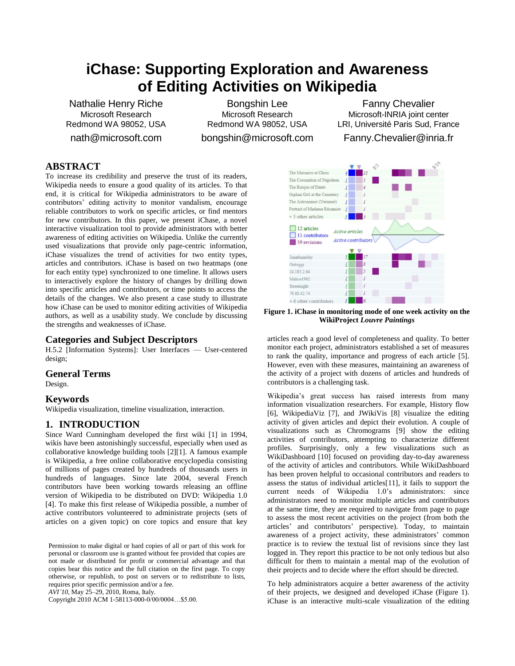## **iChase: Supporting Exploration and Awareness of Editing Activities on Wikipedia**

Nathalie Henry Riche Microsoft Research Redmond WA 98052, USA

nath@microsoft.com

Bongshin Lee Microsoft Research Redmond WA 98052, USA bongshin@microsoft.com

Fanny Chevalier Microsoft-INRIA joint center LRI, Université Paris Sud, France

Fanny.Chevalier@inria.fr

## **ABSTRACT**

To increase its credibility and preserve the trust of its readers, Wikipedia needs to ensure a good quality of its articles. To that end, it is critical for Wikipedia administrators to be aware of contributors' editing activity to monitor vandalism, encourage reliable contributors to work on specific articles, or find mentors for new contributors. In this paper, we present iChase, a novel interactive visualization tool to provide administrators with better awareness of editing activities on Wikipedia. Unlike the currently used visualizations that provide only page-centric information, iChase visualizes the trend of activities for two entity types, articles and contributors. iChase is based on two heatmaps (one for each entity type) synchronized to one timeline. It allows users to interactively explore the history of changes by drilling down into specific articles and contributors, or time points to access the details of the changes. We also present a case study to illustrate how iChase can be used to monitor editing activities of Wikipedia authors, as well as a usability study. We conclude by discussing the strengths and weaknesses of iChase.

## **Categories and Subject Descriptors**

H.5.2 [Information Systems]: User Interfaces — User-centered design;

#### **General Terms**

Design.

#### **Keywords**

Wikipedia visualization, timeline visualization, interaction.

## **1. INTRODUCTION**

Since Ward Cunningham developed the first wiki [\[1\]](#page-8-0) in 1994, wikis have been astonishingly successful, especially when used as collaborative knowledge building tools [\[2\]\[1\].](#page-8-1) A famous example is Wikipedia, a free online collaborative encyclopedia consisting of millions of pages created by hundreds of thousands users in hundreds of languages. Since late 2004, several French contributors have been working towards releasing an offline version of Wikipedia to be distributed on DVD: Wikipedia 1.0 [\[4\].](#page-8-2) To make this first release of Wikipedia possible, a number of active contributors volunteered to administrate projects (sets of articles on a given topic) on core topics and ensure that key

Permission to make digital or hard copies of all or part of this work for personal or classroom use is granted without fee provided that copies are not made or distributed for profit or commercial advantage and that copies bear this notice and the full citation on the first page. To copy otherwise, or republish, to post on servers or to redistribute to lists, requires prior specific permission and/or a fee.

*AVI'10*, May 25–29, 2010, Roma, Italy.

Copyright 2010 ACM 1-58113-000-0/00/0004…\$5.00.



**Figure 1. iChase in monitoring mode of one week activity on the WikiProject** *Louvre Paintings*

articles reach a good level of completeness and quality. To better monitor each project, administrators established a set of measures to rank the quality, importance and progress of each article [\[5\].](#page-8-3) However, even with these measures, maintaining an awareness of the activity of a project with dozens of articles and hundreds of contributors is a challenging task.

Wikipedia's great success has raised interests from many information visualization researchers. For example, History flow [\[6\],](#page-8-4) WikipediaViz [\[7\],](#page-8-5) and JWikiVis [\[8\]](#page-8-6) visualize the editing activity of given articles and depict their evolution. A couple of visualizations such as Chromograms [\[9\]](#page-8-7) show the editing activities of contributors, attempting to characterize different profiles. Surprisingly, only a few visualizations such as WikiDashboard [\[10\]](#page-8-8) focused on providing day-to-day awareness of the activity of articles and contributors. While WikiDashboard has been proven helpful to occasional contributors and readers to assess the status of individual article[s\[11\],](#page-8-9) it fails to support the current needs of Wikipedia 1.0's administrators: since administrators need to monitor multiple articles and contributors at the same time, they are required to navigate from page to page to assess the most recent activities on the project (from both the articles' and contributors' perspective). Today, to maintain awareness of a project activity, these administrators' common practice is to review the textual list of revisions since they last logged in. They report this practice to be not only tedious but also difficult for them to maintain a mental map of the evolution of their projects and to decide where the effort should be directed.

To help administrators acquire a better awareness of the activity of their projects, we designed and developed iChase (Figure 1). iChase is an interactive multi-scale visualization of the editing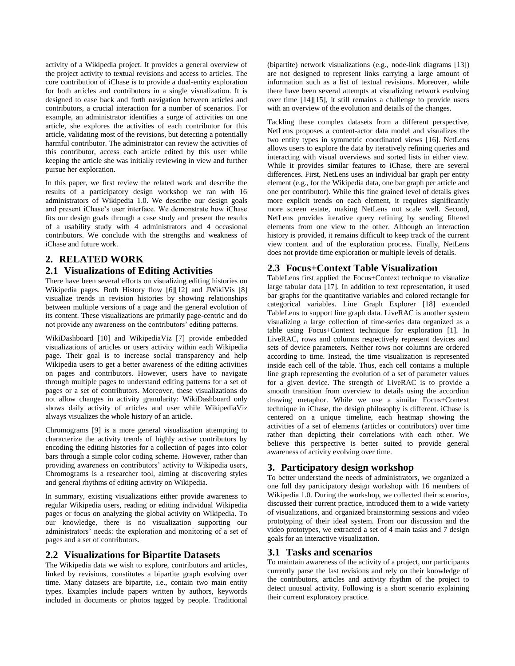activity of a Wikipedia project. It provides a general overview of the project activity to textual revisions and access to articles. The core contribution of iChase is to provide a dual-entity exploration for both articles and contributors in a single visualization. It is designed to ease back and forth navigation between articles and contributors, a crucial interaction for a number of scenarios. For example, an administrator identifies a surge of activities on one article, she explores the activities of each contributor for this article, validating most of the revisions, but detecting a potentially harmful contributor. The administrator can review the activities of this contributor, access each article edited by this user while keeping the article she was initially reviewing in view and further pursue her exploration.

In this paper, we first review the related work and describe the results of a participatory design workshop we ran with 16 administrators of Wikipedia 1.0. We describe our design goals and present iChase's user interface. We demonstrate how iChase fits our design goals through a case study and present the results of a usability study with 4 administrators and 4 occasional contributors. We conclude with the strengths and weakness of iChase and future work.

## **2. RELATED WORK**

## **2.1 Visualizations of Editing Activities**

There have been several efforts on visualizing editing histories on Wikipedia pages. Both History flow [\[6\]\[12\]](#page-8-4) and JWikiVis [\[8\]](#page-8-6) visualize trends in revision histories by showing relationships between multiple versions of a page and the general evolution of its content. These visualizations are primarily page-centric and do not provide any awareness on the contributors' editing patterns.

WikiDashboard [\[10\]](#page-8-8) and WikipediaViz [\[7\]](#page-8-5) provide embedded visualizations of articles or users activity within each Wikipedia page. Their goal is to increase social transparency and help Wikipedia users to get a better awareness of the editing activities on pages and contributors. However, users have to navigate through multiple pages to understand editing patterns for a set of pages or a set of contributors. Moreover, these visualizations do not allow changes in activity granularity: WikiDashboard only shows daily activity of articles and user while WikipediaViz always visualizes the whole history of an article.

Chromograms [\[9\]](#page-8-7) is a more general visualization attempting to characterize the activity trends of highly active contributors by encoding the editing histories for a collection of pages into color bars through a simple color coding scheme. However, rather than providing awareness on contributors' activity to Wikipedia users, Chromograms is a researcher tool, aiming at discovering styles and general rhythms of editing activity on Wikipedia.

In summary, existing visualizations either provide awareness to regular Wikipedia users, reading or editing individual Wikipedia pages or focus on analyzing the global activity on Wikipedia. To our knowledge, there is no visualization supporting our administrators' needs: the exploration and monitoring of a set of pages and a set of contributors.

## **2.2 Visualizations for Bipartite Datasets**

The Wikipedia data we wish to explore, contributors and articles, linked by revisions, constitutes a bipartite graph evolving over time. Many datasets are bipartite, i.e., contain two main entity types. Examples include papers written by authors, keywords included in documents or photos tagged by people. Traditional

(bipartite) network visualizations (e.g., node-link diagrams [\[13\]\)](#page-8-10) are not designed to represent links carrying a large amount of information such as a list of textual revisions. Moreover, while there have been several attempts at visualizing network evolving over time [\[14\]\[15\],](#page-8-11) it still remains a challenge to provide users with an overview of the evolution and details of the changes.

Tackling these complex datasets from a different perspective, NetLens proposes a content-actor data model and visualizes the two entity types in symmetric coordinated views [\[16\].](#page-8-12) NetLens allows users to explore the data by iteratively refining queries and interacting with visual overviews and sorted lists in either view. While it provides similar features to iChase, there are several differences. First, NetLens uses an individual bar graph per entity element (e.g., for the Wikipedia data, one bar graph per article and one per contributor). While this fine grained level of details gives more explicit trends on each element, it requires significantly more screen estate, making NetLens not scale well. Second, NetLens provides iterative query refining by sending filtered elements from one view to the other. Although an interaction history is provided, it remains difficult to keep track of the current view content and of the exploration process. Finally, NetLens does not provide time exploration or multiple levels of details.

## **2.3 Focus+Context Table Visualization**

TableLens first applied the Focus+Context technique to visualize large tabular data [\[17\].](#page-8-13) In addition to text representation, it used bar graphs for the quantitative variables and colored rectangle for categorical variables. Line Graph Explorer [\[18\]](#page-8-14) extended TableLens to support line graph data. LiveRAC is another system visualizing a large collection of time-series data organized as a table using Focus+Context technique for exploration [\[1\].](#page-8-15) In LiveRAC, rows and columns respectively represent devices and sets of device parameters. Neither rows nor columns are ordered according to time. Instead, the time visualization is represented inside each cell of the table. Thus, each cell contains a multiple line graph representing the evolution of a set of parameter values for a given device. The strength of LiveRAC is to provide a smooth transition from overview to details using the accordion drawing metaphor. While we use a similar Focus+Context technique in iChase, the design philosophy is different. iChase is centered on a unique timeline, each heatmap showing the activities of a set of elements (articles or contributors) over time rather than depicting their correlations with each other. We believe this perspective is better suited to provide general awareness of activity evolving over time.

## **3. Participatory design workshop**

To better understand the needs of administrators, we organized a one full day participatory design workshop with 16 members of Wikipedia 1.0. During the workshop, we collected their scenarios, discussed their current practice, introduced them to a wide variety of visualizations, and organized brainstorming sessions and video prototyping of their ideal system. From our discussion and the video prototypes, we extracted a set of 4 main tasks and 7 design goals for an interactive visualization.

## **3.1 Tasks and scenarios**

To maintain awareness of the activity of a project, our participants currently parse the last revisions and rely on their knowledge of the contributors, articles and activity rhythm of the project to detect unusual activity. Following is a short scenario explaining their current exploratory practice.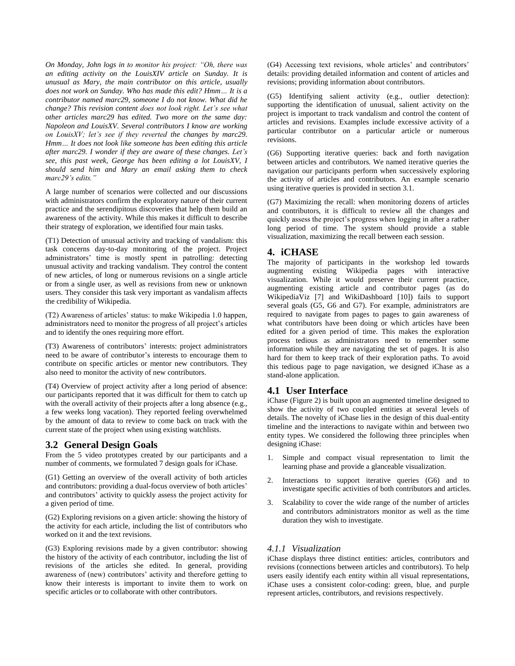*On Monday, John logs in to monitor his project: "Oh, there was an editing activity on the LouisXIV article on Sunday. It is unusual as Mary, the main contributor on this article, usually does not work on Sunday. Who has made this edit? Hmm… It is a contributor named marc29, someone I do not know. What did he change? This revision content does not look right. Let's see what other articles marc29 has edited. Two more on the same day: Napoleon and LouisXV. Several contributors I know are working on LouisXV; let's see if they reverted the changes by marc29. Hmm… It does not look like someone has been editing this article after marc29. I wonder if they are aware of these changes. Let's see, this past week, George has been editing a lot LouisXV, I should send him and Mary an email asking them to check marc29's edits."*

A large number of scenarios were collected and our discussions with administrators confirm the exploratory nature of their current practice and the serendipitous discoveries that help them build an awareness of the activity. While this makes it difficult to describe their strategy of exploration, we identified four main tasks.

(T1) Detection of unusual activity and tracking of vandalism: this task concerns day-to-day monitoring of the project. Project administrators' time is mostly spent in patrolling: detecting unusual activity and tracking vandalism. They control the content of new articles, of long or numerous revisions on a single article or from a single user, as well as revisions from new or unknown users. They consider this task very important as vandalism affects the credibility of Wikipedia.

(T2) Awareness of articles' status: to make Wikipedia 1.0 happen, administrators need to monitor the progress of all project's articles and to identify the ones requiring more effort.

(T3) Awareness of contributors' interests: project administrators need to be aware of contributor's interests to encourage them to contribute on specific articles or mentor new contributors. They also need to monitor the activity of new contributors.

(T4) Overview of project activity after a long period of absence: our participants reported that it was difficult for them to catch up with the overall activity of their projects after a long absence (e.g., a few weeks long vacation). They reported feeling overwhelmed by the amount of data to review to come back on track with the current state of the project when using existing watchlists.

#### **3.2 General Design Goals**

From the 5 video prototypes created by our participants and a number of comments, we formulated 7 design goals for iChase.

(G1) Getting an overview of the overall activity of both articles and contributors: providing a dual-focus overview of both articles' and contributors' activity to quickly assess the project activity for a given period of time.

(G2) Exploring revisions on a given article: showing the history of the activity for each article, including the list of contributors who worked on it and the text revisions.

(G3) Exploring revisions made by a given contributor: showing the history of the activity of each contributor, including the list of revisions of the articles she edited. In general, providing awareness of (new) contributors' activity and therefore getting to know their interests is important to invite them to work on specific articles or to collaborate with other contributors.

(G4) Accessing text revisions, whole articles' and contributors' details: providing detailed information and content of articles and revisions; providing information about contributors.

(G5) Identifying salient activity (e.g., outlier detection): supporting the identification of unusual, salient activity on the project is important to track vandalism and control the content of articles and revisions. Examples include excessive activity of a particular contributor on a particular article or numerous revisions.

(G6) Supporting iterative queries: back and forth navigation between articles and contributors. We named iterative queries the navigation our participants perform when successively exploring the activity of articles and contributors. An example scenario using iterative queries is provided in section 3.1.

(G7) Maximizing the recall: when monitoring dozens of articles and contributors, it is difficult to review all the changes and quickly assess the project's progress when logging in after a rather long period of time. The system should provide a stable visualization, maximizing the recall between each session.

#### **4. iCHASE**

The majority of participants in the workshop led towards augmenting existing Wikipedia pages with interactive visualization. While it would preserve their current practice, augmenting existing article and contributor pages (as do WikipediaViz [\[7\]](#page-8-5) and WikiDashboard [\[10\]\)](#page-8-8) fails to support several goals (G5, G6 and G7). For example, administrators are required to navigate from pages to pages to gain awareness of what contributors have been doing or which articles have been edited for a given period of time. This makes the exploration process tedious as administrators need to remember some information while they are navigating the set of pages. It is also hard for them to keep track of their exploration paths. To avoid this tedious page to page navigation, we designed iChase as a stand-alone application.

## **4.1 User Interface**

iChase (Figure 2) is built upon an augmented timeline designed to show the activity of two coupled entities at several levels of details. The novelty of iChase lies in the design of this dual-entity timeline and the interactions to navigate within and between two entity types. We considered the following three principles when designing iChase:

- 1. Simple and compact visual representation to limit the learning phase and provide a glanceable visualization.
- 2. Interactions to support iterative queries (G6) and to investigate specific activities of both contributors and articles.
- 3. Scalability to cover the wide range of the number of articles and contributors administrators monitor as well as the time duration they wish to investigate.

#### *4.1.1 Visualization*

iChase displays three distinct entities: articles, contributors and revisions (connections between articles and contributors). To help users easily identify each entity within all visual representations, iChase uses a consistent color-coding: green, blue, and purple represent articles, contributors, and revisions respectively.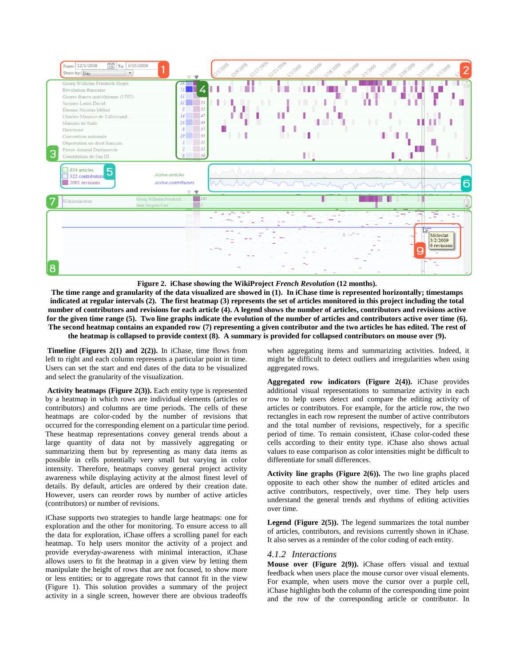

**Figure 2. iChase showing the WikiProject** *French Revolution* **(12 months).**

**The time range and granularity of the data visualized are showed in (1). In iChase time is represented horizontally; timestamps indicated at regular intervals (2). The first heatmap (3) represents the set of articles monitored in this project including the total number of contributors and revisions for each article (4). A legend shows the number of articles, contributors and revisions active for the given time range (5). Two line graphs indicate the evolution of the number of articles and contributors active over time (6). The second heatmap contains an expanded row (7) representing a given contributor and the two articles he has edited. The rest of the heatmap is collapsed to provide context (8). A summary is provided for collapsed contributors on mouse over (9).**

**Timeline (Figures 2(1) and 2(2)).** In iChase, time flows from left to right and each column represents a particular point in time. Users can set the start and end dates of the data to be visualized and select the granularity of the visualization.

**Activity heatmaps (Figure 2(3)).** Each entity type is represented by a heatmap in which rows are individual elements (articles or contributors) and columns are time periods. The cells of these heatmaps are color-coded by the number of revisions that occurred for the corresponding element on a particular time period. These heatmap representations convey general trends about a large quantity of data not by massively aggregating or summarizing them but by representing as many data items as possible in cells potentially very small but varying in color intensity. Therefore, heatmaps convey general project activity awareness while displaying activity at the almost finest level of details. By default, articles are ordered by their creation date. However, users can reorder rows by number of active articles (contributors) or number of revisions.

iChase supports two strategies to handle large heatmaps: one for exploration and the other for monitoring. To ensure access to all the data for exploration, iChase offers a scrolling panel for each heatmap. To help users monitor the activity of a project and provide everyday-awareness with minimal interaction, iChase allows users to fit the heatmap in a given view by letting them manipulate the height of rows that are not focused, to show more or less entities; or to aggregate rows that cannot fit in the view (Figure 1). This solution provides a summary of the project activity in a single screen, however there are obvious tradeoffs

when aggregating items and summarizing activities. Indeed, it might be difficult to detect outliers and irregularities when using aggregated rows.

**Aggregated row indicators (Figure 2(4)).** iChase provides additional visual representations to summarize activity in each row to help users detect and compare the editing activity of articles or contributors. For example, for the article row, the two rectangles in each row represent the number of active contributors and the total number of revisions, respectively, for a specific period of time. To remain consistent, iChase color-coded these cells according to their entity type. iChase also shows actual values to ease comparison as color intensities might be difficult to differentiate for small differences.

**Activity line graphs (Figure 2(6)).** The two line graphs placed opposite to each other show the number of edited articles and active contributors, respectively, over time. They help users understand the general trends and rhythms of editing activities over time.

**Legend (Figure 2(5)).** The legend summarizes the total number of articles, contributors, and revisions currently shown in iChase. It also serves as a reminder of the color coding of each entity.

#### *4.1.2 Interactions*

**Mouse over (Figure 2(9)).** iChase offers visual and textual feedback when users place the mouse cursor over visual elements. For example, when users move the cursor over a purple cell, iChase highlights both the column of the corresponding time point and the row of the corresponding article or contributor. In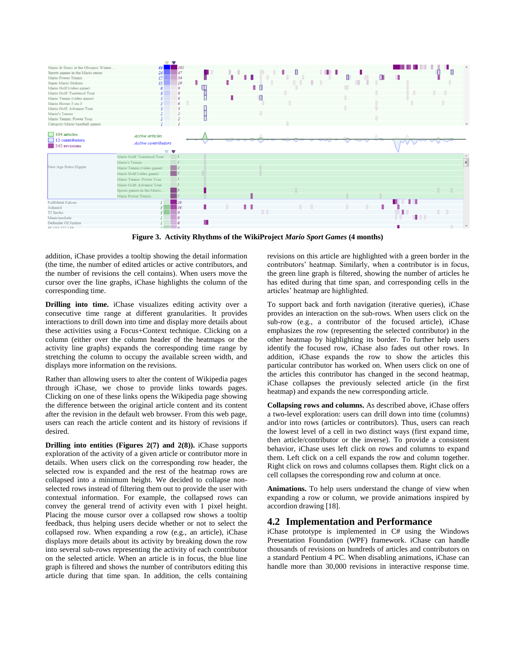

**Figure 3. Activity Rhythms of the WikiProject** *Mario Sport Games* **(4 months)**

addition, iChase provides a tooltip showing the detail information (the time, the number of edited articles or active contributors, and the number of revisions the cell contains). When users move the cursor over the line graphs, iChase highlights the column of the corresponding time.

**Drilling into time.** iChase visualizes editing activity over a consecutive time range at different granularities. It provides interactions to drill down into time and display more details about these activities using a Focus+Context technique. Clicking on a column (either over the column header of the heatmaps or the activity line graphs) expands the corresponding time range by stretching the column to occupy the available screen width, and displays more information on the revisions.

Rather than allowing users to alter the content of Wikipedia pages through iChase, we chose to provide links towards pages. Clicking on one of these links opens the Wikipedia page showing the difference between the original article content and its content after the revision in the default web browser. From this web page, users can reach the article content and its history of revisions if desired.

**Drilling into entities (Figures 2(7) and 2(8)).** iChase supports exploration of the activity of a given article or contributor more in details. When users click on the corresponding row header, the selected row is expanded and the rest of the heatmap rows are collapsed into a minimum height. We decided to collapse nonselected rows instead of filtering them out to provide the user with contextual information. For example, the collapsed rows can convey the general trend of activity even with 1 pixel height. Placing the mouse cursor over a collapsed row shows a tooltip feedback, thus helping users decide whether or not to select the collapsed row. When expanding a row (e.g., an article), iChase displays more details about its activity by breaking down the row into several sub-rows representing the activity of each contributor on the selected article. When an article is in focus, the blue line graph is filtered and shows the number of contributors editing this article during that time span. In addition, the cells containing

revisions on this article are highlighted with a green border in the contributors' heatmap. Similarly, when a contributor is in focus, the green line graph is filtered, showing the number of articles he has edited during that time span, and corresponding cells in the articles' heatmap are highlighted.

To support back and forth navigation (iterative queries), iChase provides an interaction on the sub-rows. When users click on the sub-row (e.g., a contributor of the focused article), iChase emphasizes the row (representing the selected contributor) in the other heatmap by highlighting its border. To further help users identify the focused row, iChase also fades out other rows. In addition, iChase expands the row to show the articles this particular contributor has worked on. When users click on one of the articles this contributor has changed in the second heatmap, iChase collapses the previously selected article (in the first heatmap) and expands the new corresponding article.

**Collapsing rows and columns.** As described above, iChase offers a two-level exploration: users can drill down into time (columns) and/or into rows (articles or contributors). Thus, users can reach the lowest level of a cell in two distinct ways (first expand time, then article/contributor or the inverse). To provide a consistent behavior, iChase uses left click on rows and columns to expand them. Left click on a cell expands the row and column together. Right click on rows and columns collapses them. Right click on a cell collapses the corresponding row and column at once.

**Animations.** To help users understand the change of view when expanding a row or column, we provide animations inspired by accordion drawin[g \[18\].](#page-8-14)

## **4.2 Implementation and Performance**

iChase prototype is implemented in C# using the Windows Presentation Foundation (WPF) framework. iChase can handle thousands of revisions on hundreds of articles and contributors on a standard Pentium 4 PC. When disabling animations, iChase can handle more than 30,000 revisions in interactive response time.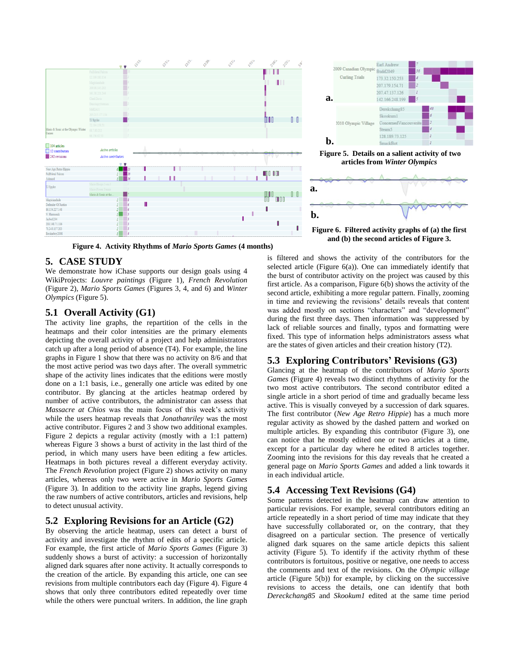

**Figure 4. Activity Rhythms of** *Mario Sports Games* **(4 months)**

## **5. CASE STUDY**

We demonstrate how iChase supports our design goals using 4 WikiProjects: *Louvre paintings* (Figure 1), *French Revolution* (Figure 2), *Mario Sports Games* (Figures 3, 4, and 6) and *Winter Olympics* (Figure 5).

## **5.1 Overall Activity (G1)**

The activity line graphs, the repartition of the cells in the heatmaps and their color intensities are the primary elements depicting the overall activity of a project and help administrators catch up after a long period of absence (T4). For example, the line graphs in Figure 1 show that there was no activity on 8/6 and that the most active period was two days after. The overall symmetric shape of the activity lines indicates that the editions were mostly done on a 1:1 basis, i.e., generally one article was edited by one contributor. By glancing at the articles heatmap ordered by number of active contributors, the administrator can assess that *Massacre at Chios* was the main focus of this week's activity while the users heatmap reveals that *Jonathanriley* was the most active contributor. Figures 2 and 3 show two additional examples. Figure 2 depicts a regular activity (mostly with a 1:1 pattern) whereas Figure 3 shows a burst of activity in the last third of the period, in which many users have been editing a few articles. Heatmaps in both pictures reveal a different everyday activity. The *French Revolution* project (Figure 2) shows activity on many articles, whereas only two were active in *Mario Sports Games* (Figure 3). In addition to the activity line graphs, legend giving the raw numbers of active contributors, articles and revisions, help to detect unusual activity.

## **5.2 Exploring Revisions for an Article (G2)**

By observing the article heatmap, users can detect a burst of activity and investigate the rhythm of edits of a specific article. For example, the first article of *Mario Sports Games* (Figure 3) suddenly shows a burst of activity: a succession of horizontally aligned dark squares after none activity. It actually corresponds to the creation of the article. By expanding this article, one can see revisions from multiple contributors each day (Figure 4). Figure 4 shows that only three contributors edited repeatedly over time while the others were punctual writers. In addition, the line graph



**Figure 5. Details on a salient activity of two articles from** *Winter Olympics*



is filtered and shows the activity of the contributors for the selected article (Figure 6(a)). One can immediately identify that the burst of contributor activity on the project was caused by this first article. As a comparison, Figure 6(b) shows the activity of the second article, exhibiting a more regular pattern. Finally, zooming in time and reviewing the revisions' details reveals that content was added mostly on sections "characters" and "development" during the first three days. Then information was suppressed by lack of reliable sources and finally, typos and formatting were fixed. This type of information helps administrators assess what are the states of given articles and their creation history (T2).

## **5.3 Exploring Contributors' Revisions (G3)**

Glancing at the heatmap of the contributors of *Mario Sports Games* (Figure 4) reveals two distinct rhythms of activity for the two most active contributors. The second contributor edited a single article in a short period of time and gradually became less active. This is visually conveyed by a succession of dark squares. The first contributor (*New Age Retro Hippie*) has a much more regular activity as showed by the dashed pattern and worked on multiple articles. By expanding this contributor (Figure 3), one can notice that he mostly edited one or two articles at a time, except for a particular day where he edited 8 articles together. Zooming into the revisions for this day reveals that he created a general page on *Mario Sports Games* and added a link towards it in each individual article.

## **5.4 Accessing Text Revisions (G4)**

Some patterns detected in the heatmap can draw attention to particular revisions. For example, several contributors editing an article repeatedly in a short period of time may indicate that they have successfully collaborated or, on the contrary, that they disagreed on a particular section. The presence of vertically aligned dark squares on the same article depicts this salient activity (Figure 5). To identify if the activity rhythm of these contributors is fortuitous, positive or negative, one needs to access the comments and text of the revisions. On the *Olympic village* article (Figure 5(b)) for example, by clicking on the successive revisions to access the details, one can identify that both *Dereckchang85* and *Skookum1* edited at the same time period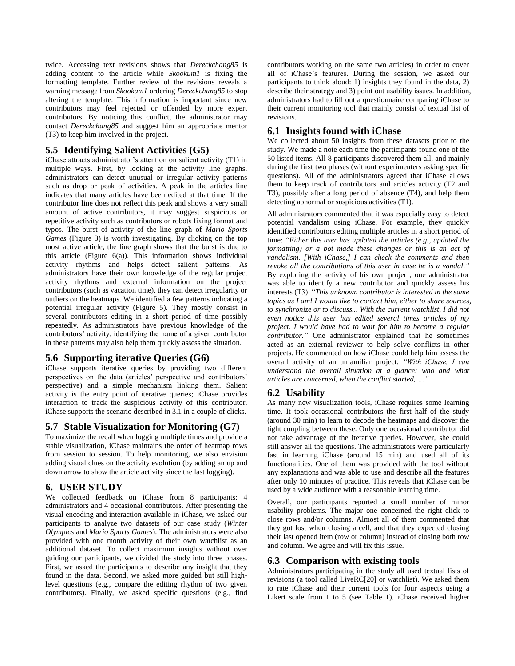twice. Accessing text revisions shows that *Dereckchang85* is adding content to the article while *Skookum1* is fixing the formatting template. Further review of the revisions reveals a warning message from *Skookum1* ordering *Dereckchang85* to stop altering the template. This information is important since new contributors may feel rejected or offended by more expert contributors. By noticing this conflict, the administrator may contact *Dereckchang85* and suggest him an appropriate mentor (T3) to keep him involved in the project.

## **5.5 Identifying Salient Activities (G5)**

iChase attracts administrator's attention on salient activity (T1) in multiple ways. First, by looking at the activity line graphs, administrators can detect unusual or irregular activity patterns such as drop or peak of activities. A peak in the articles line indicates that many articles have been edited at that time. If the contributor line does not reflect this peak and shows a very small amount of active contributors, it may suggest suspicious or repetitive activity such as contributors or robots fixing format and typos. The burst of activity of the line graph of *Mario Sports Games* (Figure 3) is worth investigating. By clicking on the top most active article, the line graph shows that the burst is due to this article (Figure 6(a)). This information shows individual activity rhythms and helps detect salient patterns. As administrators have their own knowledge of the regular project activity rhythms and external information on the project contributors (such as vacation time), they can detect irregularity or outliers on the heatmaps. We identified a few patterns indicating a potential irregular activity (Figure 5). They mostly consist in several contributors editing in a short period of time possibly repeatedly. As administrators have previous knowledge of the contributors' activity, identifying the name of a given contributor in these patterns may also help them quickly assess the situation.

## **5.6 Supporting iterative Queries (G6)**

iChase supports iterative queries by providing two different perspectives on the data (articles' perspective and contributors' perspective) and a simple mechanism linking them. Salient activity is the entry point of iterative queries; iChase provides interaction to track the suspicious activity of this contributor. iChase supports the scenario described in 3.1 in a couple of clicks.

## **5.7 Stable Visualization for Monitoring (G7)**

To maximize the recall when logging multiple times and provide a stable visualization*,* iChase maintains the order of heatmap rows from session to session. To help monitoring, we also envision adding visual clues on the activity evolution (by adding an up and down arrow to show the article activity since the last logging).

## **6. USER STUDY**

We collected feedback on iChase from 8 participants: 4 administrators and 4 occasional contributors. After presenting the visual encoding and interaction available in iChase, we asked our participants to analyze two datasets of our case study (*Winter Olympics* and *Mario Sports Games*). The administrators were also provided with one month activity of their own watchlist as an additional dataset. To collect maximum insights without over guiding our participants, we divided the study into three phases. First, we asked the participants to describe any insight that they found in the data. Second, we asked more guided but still highlevel questions (e.g., compare the editing rhythm of two given contributors). Finally, we asked specific questions (e.g., find

contributors working on the same two articles) in order to cover all of iChase's features. During the session, we asked our participants to think aloud: 1) insights they found in the data, 2) describe their strategy and 3) point out usability issues. In addition, administrators had to fill out a questionnaire comparing iChase to their current monitoring tool that mainly consist of textual list of revisions.

## **6.1 Insights found with iChase**

We collected about 50 insights from these datasets prior to the study. We made a note each time the participants found one of the 50 listed items. All 8 participants discovered them all, and mainly during the first two phases (without experimenters asking specific questions). All of the administrators agreed that iChase allows them to keep track of contributors and articles activity (T2 and T3), possibly after a long period of absence (T4), and help them detecting abnormal or suspicious activities (T1).

All administrators commented that it was especially easy to detect potential vandalism using iChase. For example, they quickly identified contributors editing multiple articles in a short period of time: *"Either this user has updated the articles (e.g., updated the formatting) or a bot made these changes or this is an act of vandalism. [With iChase,] I can check the comments and then revoke all the contributions of this user in case he is a vandal."* By exploring the activity of his own project, one administrator was able to identify a new contributor and quickly assess his interests (T3): "This unknown contributor is interested in the same *topics as I am! I would like to contact him, either to share sources, to synchronize or to discuss... With the current watchlist, I did not even notice this user has edited several times articles of my project. I would have had to wait for him to become a regular contributor."* One administrator explained that he sometimes acted as an external reviewer to help solve conflicts in other projects. He commented on how iChase could help him assess the overall activity of an unfamiliar project: *"With iChase, I can understand the overall situation at a glance: who and what articles are concerned, when the conflict started, …"*

## **6.2 Usability**

As many new visualization tools, iChase requires some learning time. It took occasional contributors the first half of the study (around 30 min) to learn to decode the heatmaps and discover the tight coupling between these. Only one occasional contributor did not take advantage of the iterative queries. However, she could still answer all the questions. The administrators were particularly fast in learning iChase (around 15 min) and used all of its functionalities. One of them was provided with the tool without any explanations and was able to use and describe all the features after only 10 minutes of practice. This reveals that iChase can be used by a wide audience with a reasonable learning time.

Overall, our participants reported a small number of minor usability problems. The major one concerned the right click to close rows and/or columns. Almost all of them commented that they got lost when closing a cell, and that they expected closing their last opened item (row or column) instead of closing both row and column. We agree and will fix this issue.

## **6.3 Comparison with existing tools**

Administrators participating in the study all used textual lists of revisions (a tool called LiveR[C\[20\]](#page-8-15) or watchlist). We asked them to rate iChase and their current tools for four aspects using a Likert scale from 1 to 5 (see Table 1). iChase received higher